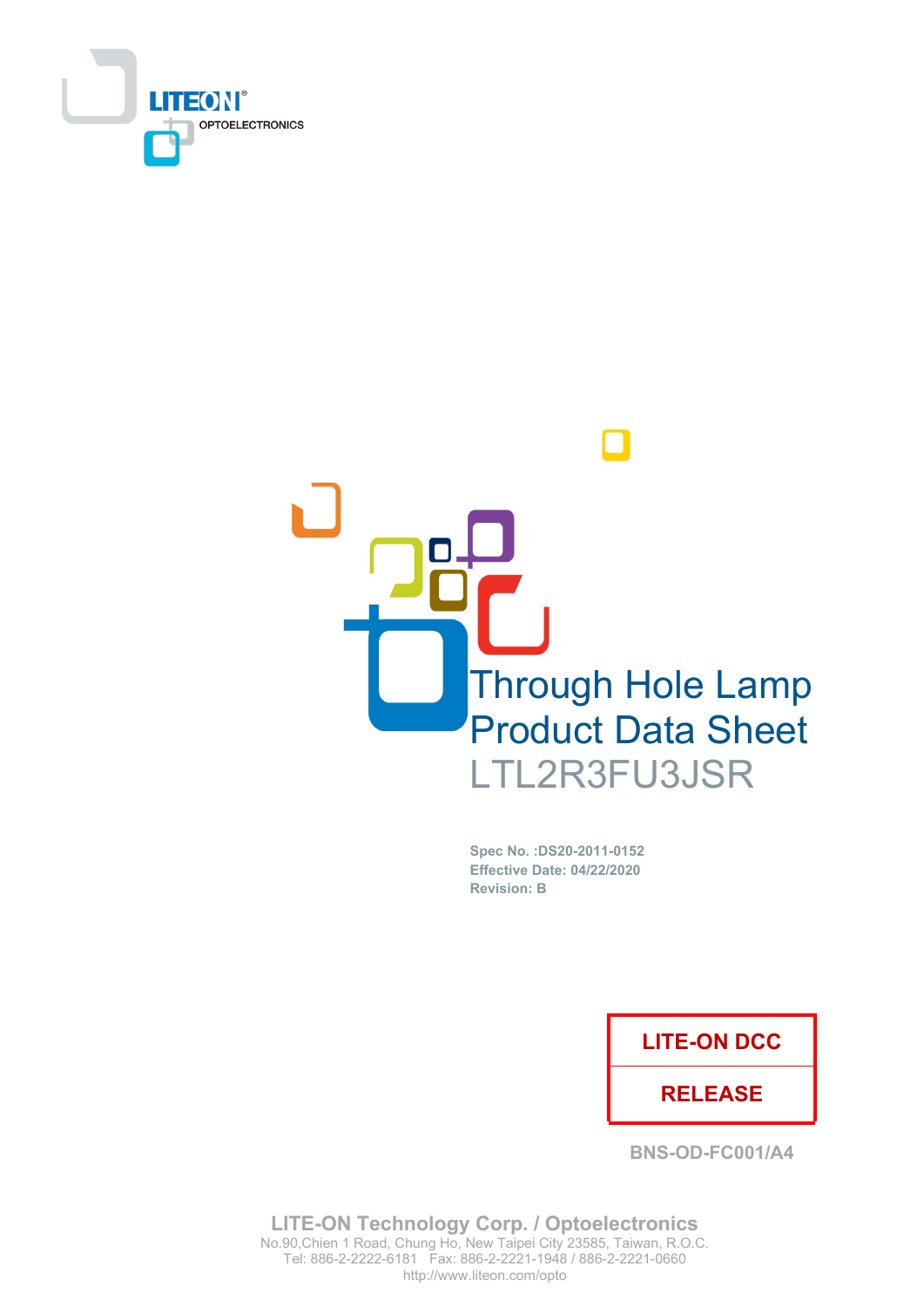



Spec No. : DS20-2011-0152 **Effective Date: 04/22/2020 Revision: B** 

## **LITE-ON DCC**

## **RELEASE**

**BNS-OD-FC001/A4** 

**LITE-ON Technology Corp. / Optoelectronics** No.90, Chien 1 Road, Chung Ho, New Taipei City 23585, Taiwan, R.O.C. Tel: 886-2-2222-6181 Fax: 886-2-2221-1948 / 886-2-2221-0660 http://www.liteon.com/opto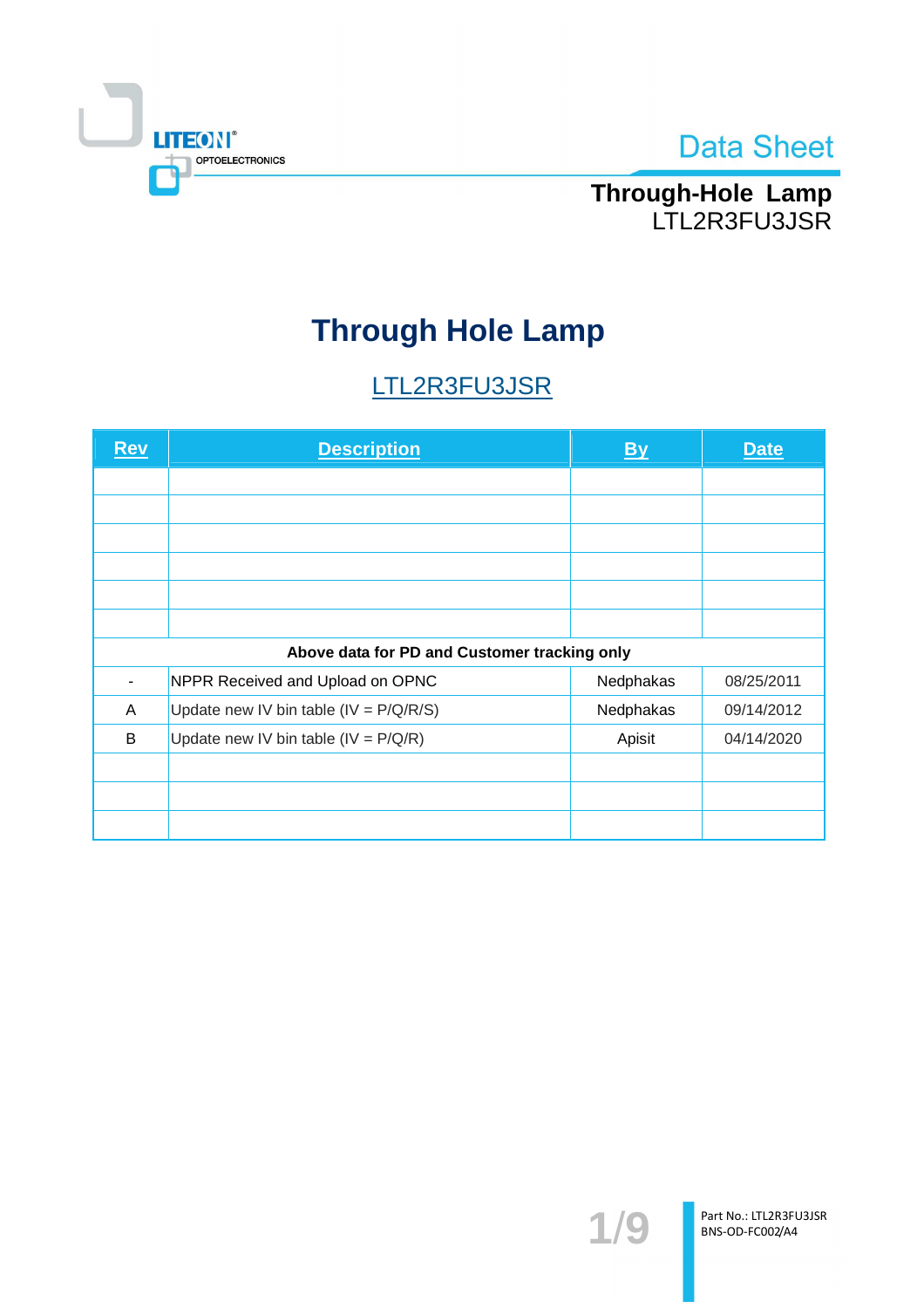

# Through-Hole Lamp<br>LTL2R3FU3JSR

# **Through Hole Lamp**

# LTL2R3FU3JSR

| <u>Rev</u> | <b>Description</b>                           | <u>By</u> | <b>Date</b> |
|------------|----------------------------------------------|-----------|-------------|
|            |                                              |           |             |
|            |                                              |           |             |
|            |                                              |           |             |
|            |                                              |           |             |
|            |                                              |           |             |
|            |                                              |           |             |
|            | Above data for PD and Customer tracking only |           |             |
|            | NPPR Received and Upload on OPNC             | Nedphakas | 08/25/2011  |
| A          | Update new IV bin table (IV = $P/Q/R/S$ )    | Nedphakas | 09/14/2012  |
| B          | Update new IV bin table (IV = $P/Q/R$ )      | Apisit    | 04/14/2020  |
|            |                                              |           |             |
|            |                                              |           |             |
|            |                                              |           |             |

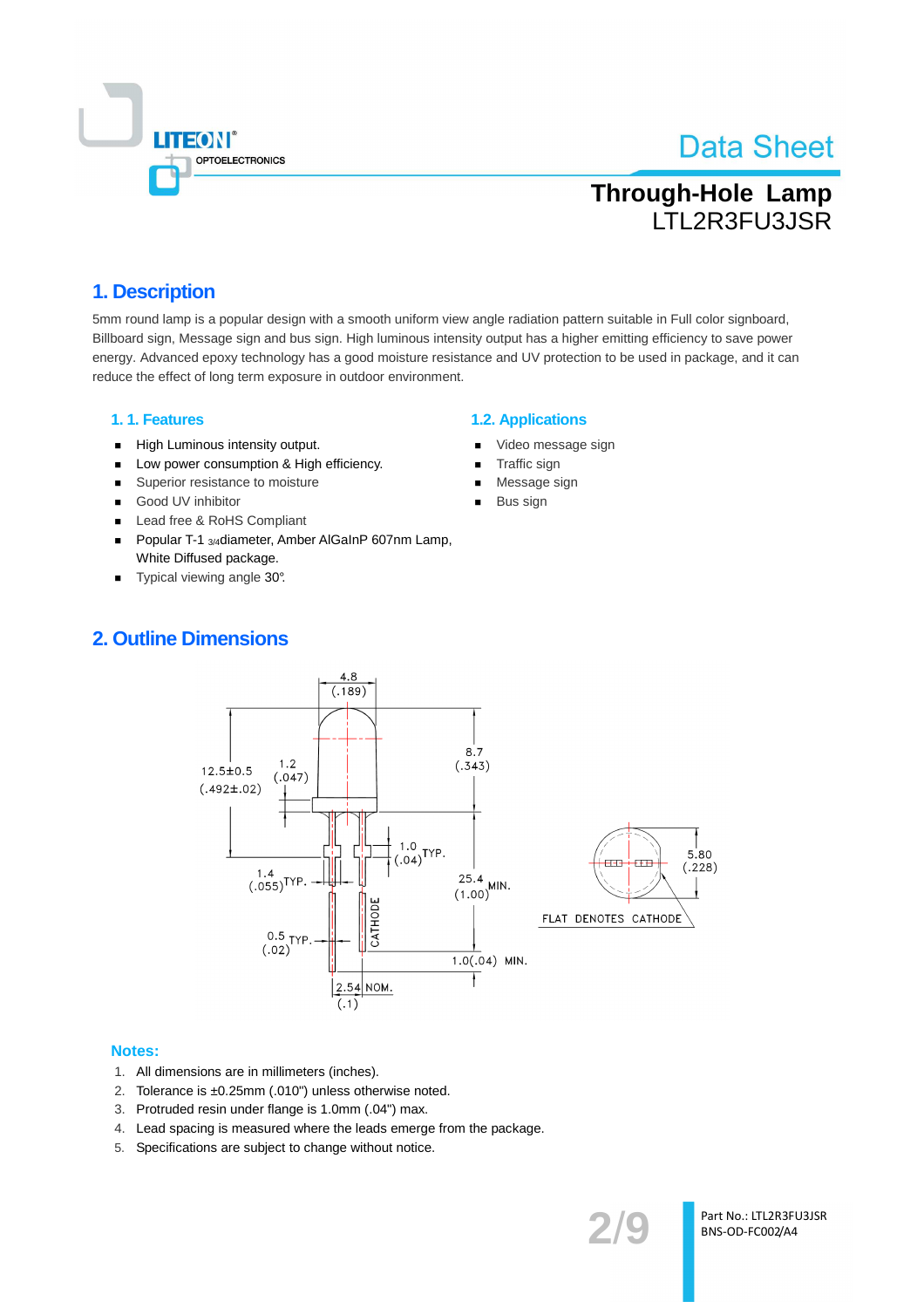

# **Through-Hole Lamp ITI 2R3FU3JSR**

## 1. Description

5mm round lamp is a popular design with a smooth uniform view angle radiation pattern suitable in Full color signboard. Billboard sign, Message sign and bus sign. High luminous intensity output has a higher emitting efficiency to save power energy. Advanced epoxy technology has a good moisture resistance and UV protection to be used in package, and it can reduce the effect of long term exposure in outdoor environment.

#### 1.1. Features

- High Luminous intensity output.  $\blacksquare$
- Low power consumption & High efficiency.  $\blacksquare$
- $\blacksquare$ Superior resistance to moisture
- Good UV inhibitor  $\blacksquare$
- Lead free & RoHS Compliant
- Popular T-1 3/4 diameter, Amber AlGaInP 607nm Lamp,  $\blacksquare$ White Diffused package.
- Typical viewing angle 30°.  $\blacksquare$

### **1.2. Applications**

- Video message sign
- Traffic sign
- Message sign
- Bus sign

## **2. Outline Dimensions**



#### **Notes:**

- 1. All dimensions are in millimeters (inches).
- Tolerance is ±0.25mm (.010") unless otherwise noted.  $2.$
- 3. Protruded resin under flange is 1.0mm (.04") max.
- 4. Lead spacing is measured where the leads emerge from the package.
- 5. Specifications are subject to change without notice.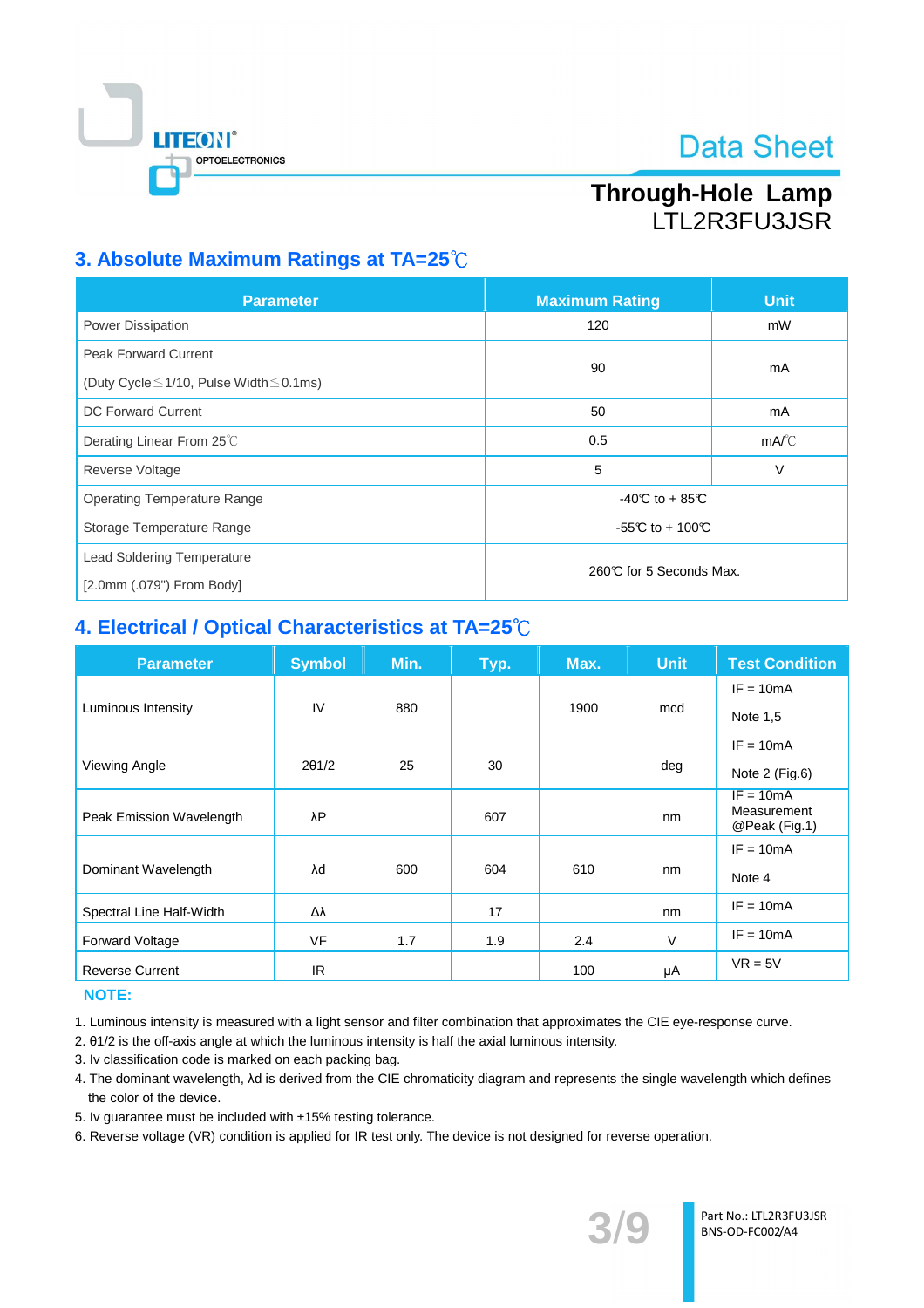

# Through-Hole Lamp **ITI 2R3FU3JSR**

## 3. Absolute Maximum Ratings at TA=25°C

| <b>Parameter</b>                                                                  | <b>Maximum Rating</b>   | <b>Unit</b>           |  |
|-----------------------------------------------------------------------------------|-------------------------|-----------------------|--|
| Power Dissipation                                                                 | 120                     | mW                    |  |
| <b>Peak Forward Current</b><br>(Duty Cycle $\leq$ 1/10, Pulse Width $\leq$ 0.1ms) | 90                      | mA                    |  |
| <b>DC Forward Current</b>                                                         | 50                      | mA                    |  |
| Derating Linear From 25°C                                                         | 0.5                     | $mA$ <sup>o</sup> $C$ |  |
| Reverse Voltage                                                                   | 5                       | ν                     |  |
| <b>Operating Temperature Range</b>                                                | $-40C$ to $+85C$        |                       |  |
| Storage Temperature Range                                                         | -55°C to + 100°C        |                       |  |
| <b>Lead Soldering Temperature</b><br>[2.0mm (.079") From Body]                    | 260℃ for 5 Seconds Max. |                       |  |

## 4. Electrical / Optical Characteristics at TA=25°C

| <b>Parameter</b>         | <b>Symbol</b> | Min. | Typ. | Max. | <b>Unit</b> | <b>Test Condition</b>      |
|--------------------------|---------------|------|------|------|-------------|----------------------------|
|                          |               |      |      |      |             | $IF = 10mA$                |
| Luminous Intensity       | IV            | 880  |      | 1900 | mcd         | Note 1,5                   |
|                          |               |      |      |      |             | $IF = 10mA$                |
| Viewing Angle            | 201/2         | 25   | 30   |      | deg         | Note 2 (Fig.6)             |
| Peak Emission Wavelength | λP            |      | 607  |      | nm          | $IF = 10mA$<br>Measurement |
|                          |               |      |      |      |             | @Peak (Fig.1)              |
|                          |               |      |      |      |             | $IF = 10mA$                |
| Dominant Wavelength      | λd            | 600  | 604  | 610  | nm          | Note 4                     |
| Spectral Line Half-Width | Δλ            |      | 17   |      | nm          | $IF = 10mA$                |
| <b>Forward Voltage</b>   | <b>VF</b>     | 1.7  | 1.9  | 2.4  | V           | $IF = 10mA$                |
| <b>Reverse Current</b>   | IR.           |      |      | 100  | μA          | $VR = 5V$                  |

### **NOTE:**

1. Luminous intensity is measured with a light sensor and filter combination that approximates the CIE eye-response curve.

2. 01/2 is the off-axis angle at which the luminous intensity is half the axial luminous intensity.

- 3. Iv classification code is marked on each packing bag.
- 4. The dominant wavelength, Ad is derived from the CIE chromaticity diagram and represents the single wavelength which defines the color of the device.
- 5. Iv quarantee must be included with ±15% testing tolerance.
- 6. Reverse voltage (VR) condition is applied for IR test only. The device is not designed for reverse operation.

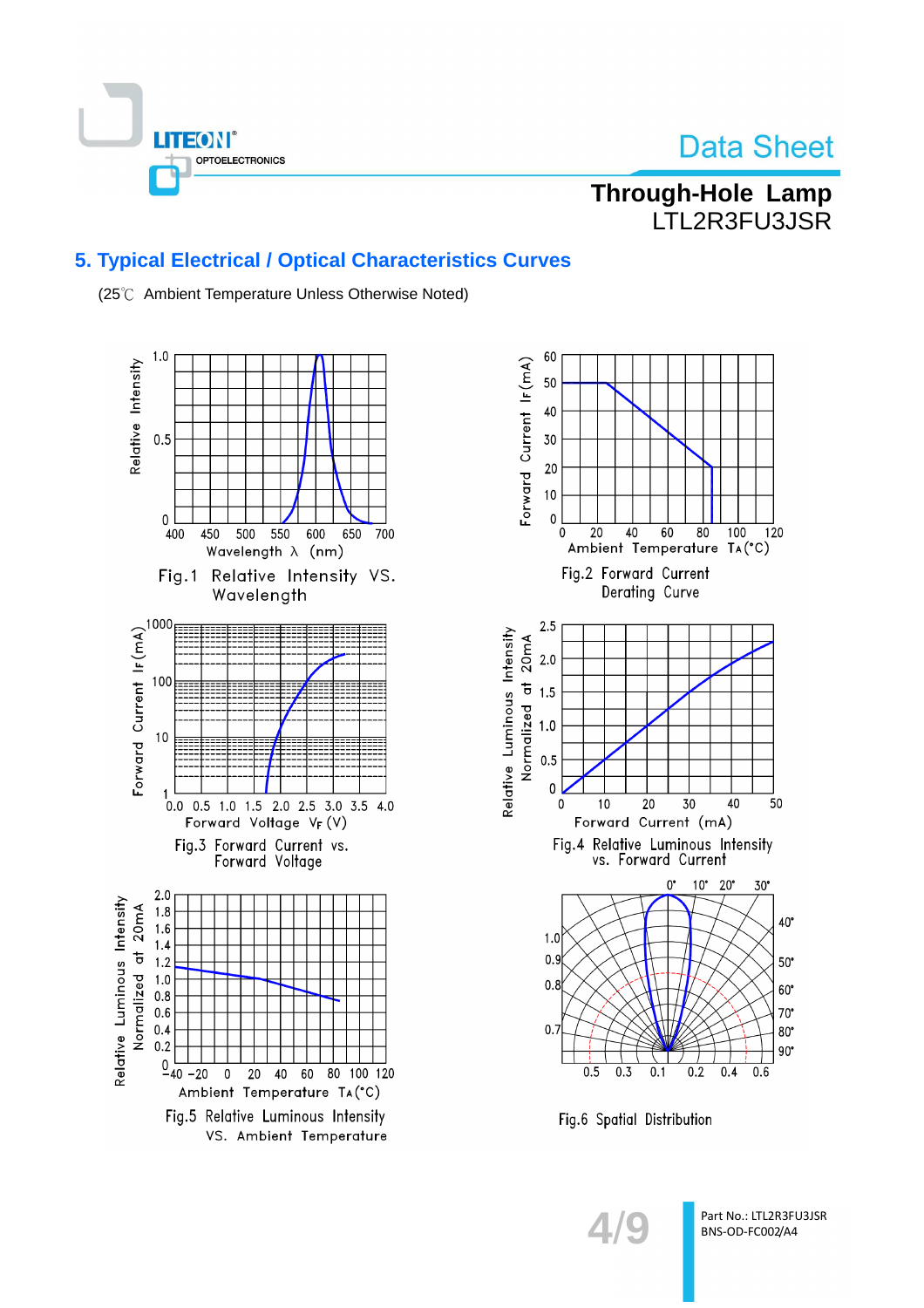

# **Through-Hole Lamp** LTL2R3FU3JSR

## **5. Typical Electrical / Optical Characteristics Curves**

(25°C Ambient Temperature Unless Otherwise Noted)





Fig.6 Spatial Distribution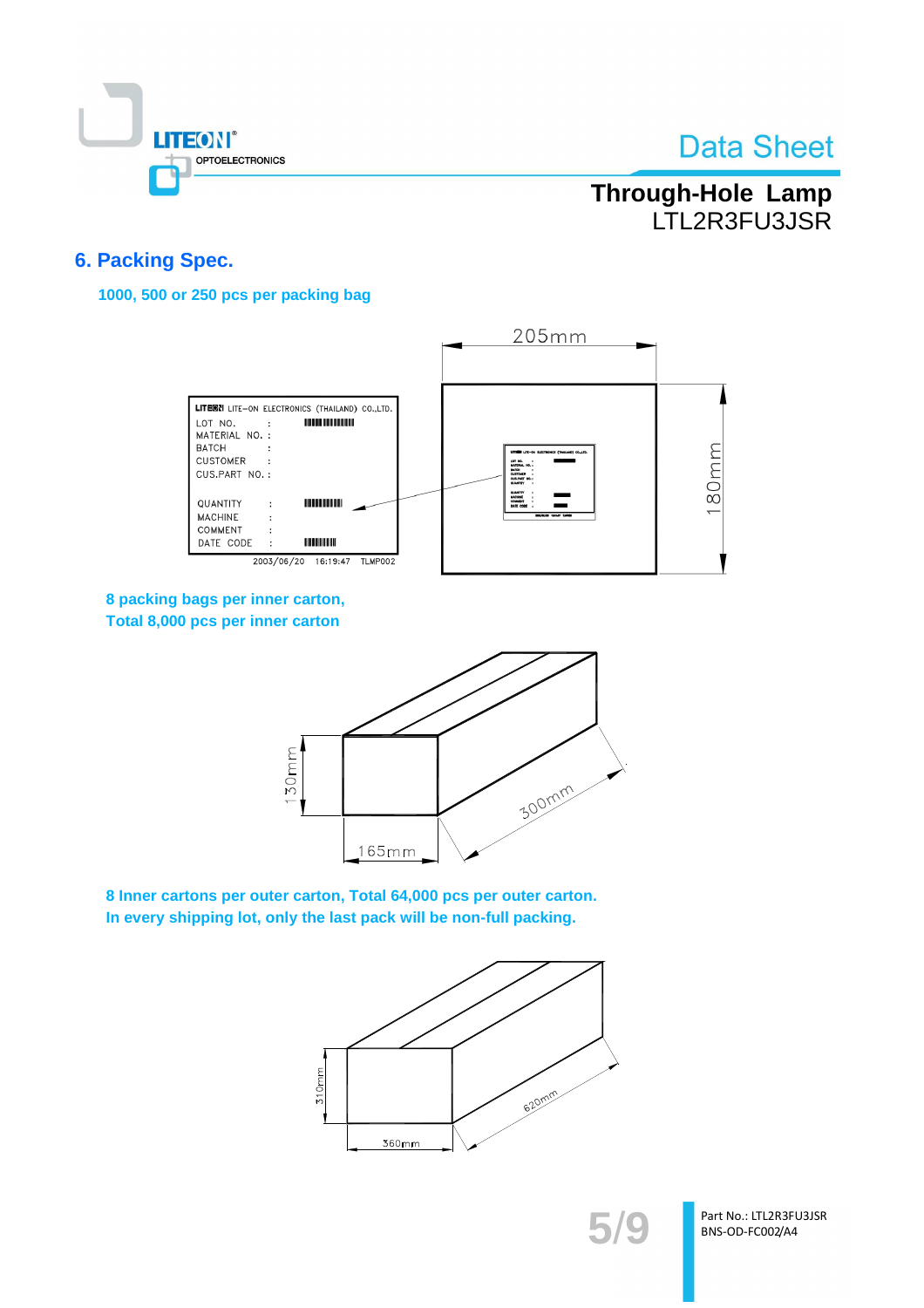

# Through-Hole Lamp LTL2R3FU3JSR

## **6. Packing Spec.**

1000, 500 or 250 pcs per packing bag



8 packing bags per inner carton, Total 8,000 pcs per inner carton



8 Inner cartons per outer carton, Total 64,000 pcs per outer carton. In every shipping lot, only the last pack will be non-full packing.



Part No.: LTL2R3FU3JSR BNS-OD-FC002/A4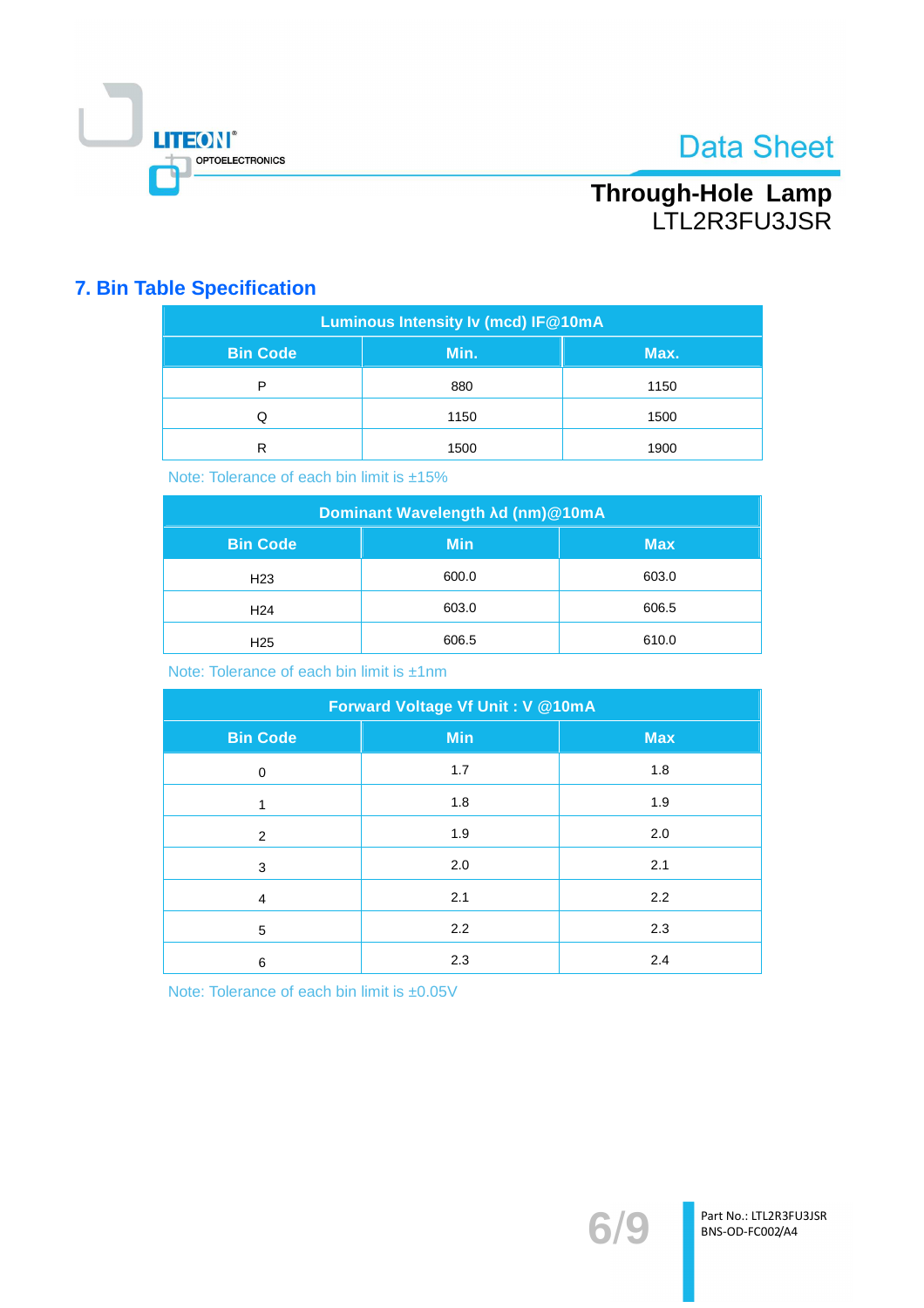

# Through-Hole Lamp<br>LTL2R3FU3JSR

## **7. Bin Table Specification**

| Luminous Intensity Iv (mcd) IF@10mA |      |      |  |  |  |
|-------------------------------------|------|------|--|--|--|
| <b>Bin Code</b>                     | Max. |      |  |  |  |
| P                                   | 880  | 1150 |  |  |  |
| Q                                   | 1150 | 1500 |  |  |  |
| R                                   | 1500 | 1900 |  |  |  |

Note: Tolerance of each bin limit is ±15%

| Dominant Wavelength Ad (nm)@10mA |            |            |  |  |  |
|----------------------------------|------------|------------|--|--|--|
| <b>Bin Code</b>                  | <b>Min</b> | <b>Max</b> |  |  |  |
| H <sub>23</sub>                  | 600.0      | 603.0      |  |  |  |
| H <sub>24</sub>                  | 603.0      | 606.5      |  |  |  |
| H <sub>25</sub>                  | 606.5      | 610.0      |  |  |  |

Note: Tolerance of each bin limit is ±1nm

| Forward Voltage Vf Unit: V @10mA |            |            |  |  |  |
|----------------------------------|------------|------------|--|--|--|
| <b>Bin Code</b>                  | <b>Min</b> | <b>Max</b> |  |  |  |
| 0                                | 1.7        | 1.8        |  |  |  |
| 1                                | 1.8        | 1.9        |  |  |  |
| 2                                | 1.9        | 2.0        |  |  |  |
| 3                                | 2.0        | 2.1        |  |  |  |
| $\overline{4}$                   | 2.1        | 2.2        |  |  |  |
| 5                                | 2.2        | 2.3        |  |  |  |
| 6                                | 2.3        | 2.4        |  |  |  |

Note: Tolerance of each bin limit is ±0.05V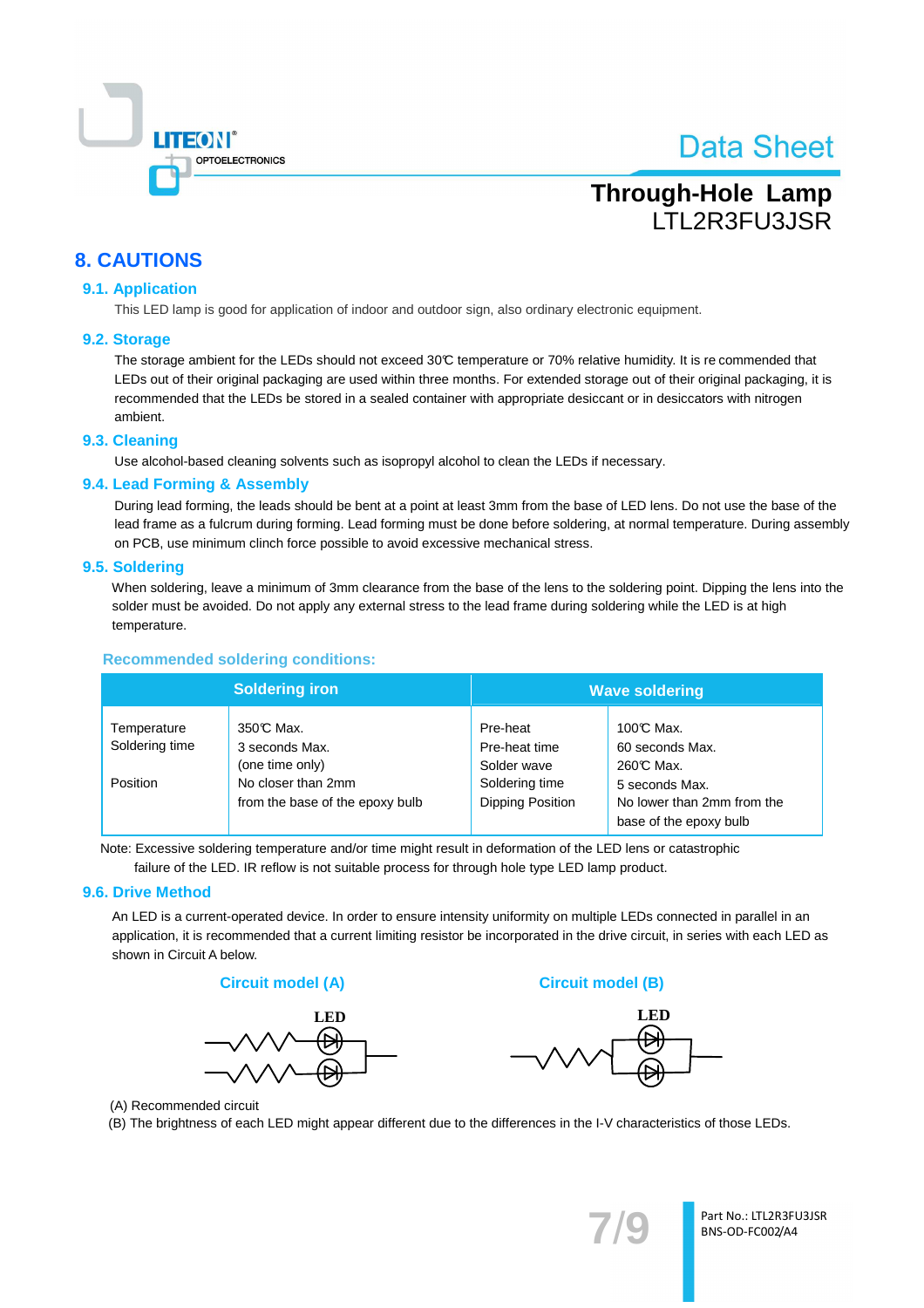

# **Through-Hole Lamp ITI 2R3FLI3 ISR**

## **8. CAUTIONS**

#### 9.1. Application

This LED lamp is good for application of indoor and outdoor sign, also ordinary electronic equipment.

#### 9.2. Storage

The storage ambient for the LEDs should not exceed 30°C temperature or 70% relative humidity. It is recommended that LEDs out of their original packaging are used within three months. For extended storage out of their original packaging, it is recommended that the LEDs be stored in a sealed container with appropriate desiccant or in desiccators with nitrogen ambient.

#### 9.3. Cleaning

Use alcohol-based cleaning solvents such as isopropyl alcohol to clean the LEDs if necessary.

#### 9.4. Lead Forming & Assembly

During lead forming, the leads should be bent at a point at least 3mm from the base of LED lens. Do not use the base of the lead frame as a fulcrum during forming. Lead forming must be done before soldering, at normal temperature. During assembly on PCB, use minimum clinch force possible to avoid excessive mechanical stress.

#### 9.5. Soldering

When soldering, leave a minimum of 3mm clearance from the base of the lens to the soldering point. Dipping the lens into the solder must be avoided. Do not apply any external stress to the lead frame during soldering while the LED is at high temperature.

#### **Recommended soldering conditions:**

| <b>Soldering iron</b>         |                                                       | <b>Wave soldering</b>                    |                                                                        |  |
|-------------------------------|-------------------------------------------------------|------------------------------------------|------------------------------------------------------------------------|--|
| Temperature<br>Soldering time | 350℃ Max.<br>3 seconds Max.<br>(one time only)        | Pre-heat<br>Pre-heat time<br>Solder wave | 100℃ Max.<br>60 seconds Max.<br>260℃ Max.                              |  |
| Position                      | No closer than 2mm<br>from the base of the epoxy bulb | Soldering time<br>Dipping Position       | 5 seconds Max.<br>No lower than 2mm from the<br>base of the epoxy bulb |  |

Note: Excessive soldering temperature and/or time might result in deformation of the LED lens or catastrophic failure of the LED. IR reflow is not suitable process for through hole type LED lamp product.

#### 9.6. Drive Method

An LED is a current-operated device. In order to ensure intensity uniformity on multiple LEDs connected in parallel in an application, it is recommended that a current limiting resistor be incorporated in the drive circuit, in series with each LED as shown in Circuit A below.









(A) Recommended circuit

(B) The brightness of each LED might appear different due to the differences in the I-V characteristics of those LEDs.

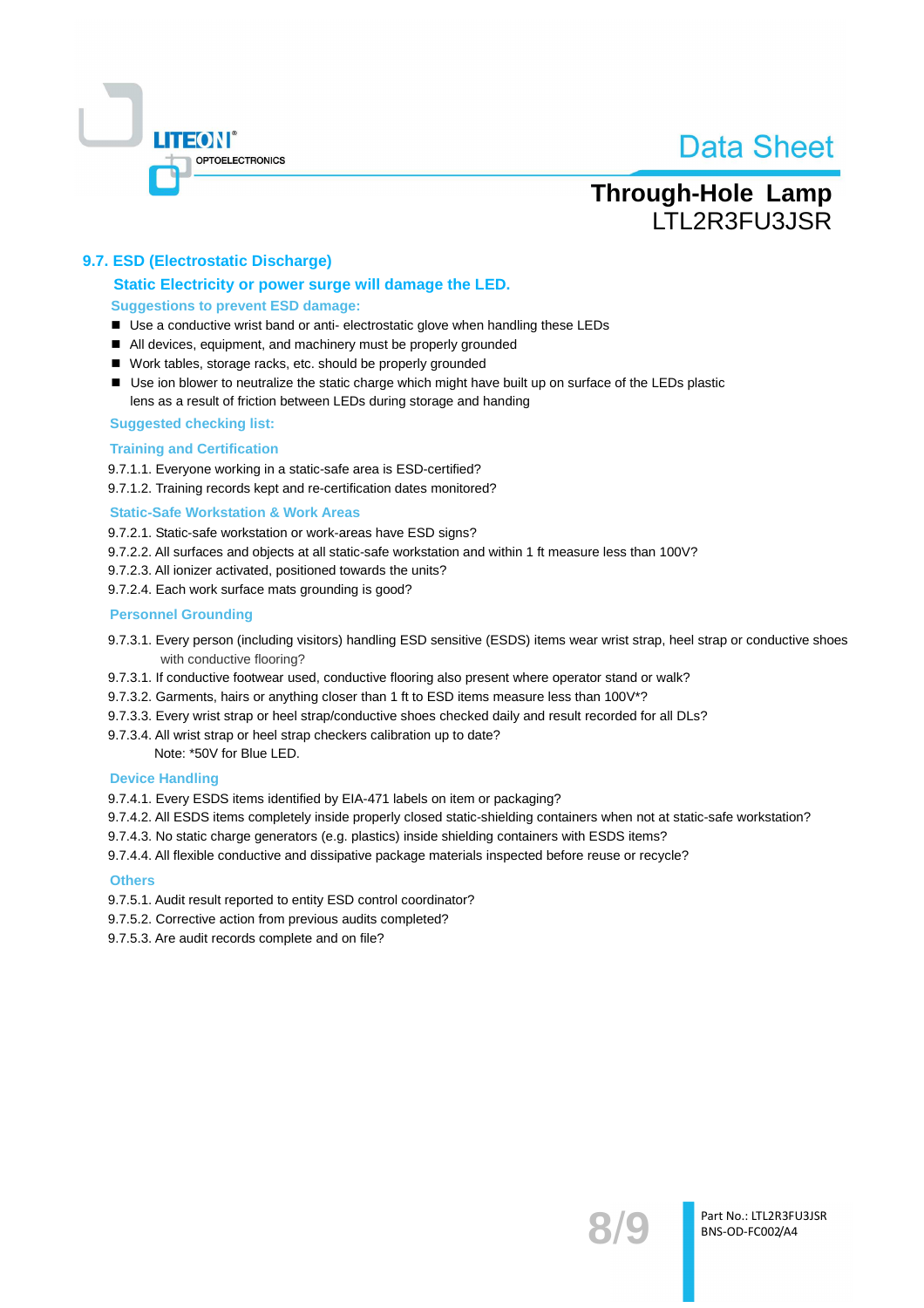

# **Through-Hole Lamp ITI 2R3FLI3 ISR**

### 9.7. ESD (Electrostatic Discharge)

#### Static Electricity or power surge will damage the LED. **Suggestions to prevent ESD damage:**

- Use a conductive wrist band or anti- electrostatic glove when handling these LEDs
- All devices, equipment, and machinery must be properly grounded
- Work tables, storage racks, etc. should be properly grounded
- Use ion blower to neutralize the static charge which might have built up on surface of the LEDs plastic lens as a result of friction between LEDs during storage and handing

#### **Suggested checking list:**

#### **Training and Certification**

9.7.1.1. Everyone working in a static-safe area is ESD-certified?

9.7.1.2. Training records kept and re-certification dates monitored?

#### **Static-Safe Workstation & Work Areas**

9.7.2.1. Static-safe workstation or work-areas have ESD signs?

- 9.7.2.2. All surfaces and objects at all static-safe workstation and within 1 ft measure less than 100V?
- 9.7.2.3. All ionizer activated, positioned towards the units?
- 9.7.2.4. Each work surface mats grounding is good?

#### **Personnel Grounding**

- 9.7.3.1. Every person (including visitors) handling ESD sensitive (ESDS) items wear wrist strap, heel strap or conductive shoes with conductive flooring?
- 9.7.3.1. If conductive footwear used, conductive flooring also present where operator stand or walk?
- 9.7.3.2. Garments, hairs or anything closer than 1 ft to ESD items measure less than 100V\*?
- 9.7.3.3. Every wrist strap or heel strap/conductive shoes checked daily and result recorded for all DLs?
- 9.7.3.4. All wrist strap or heel strap checkers calibration up to date?

Note: \*50V for Blue LED.

#### **Device Handling**

9.7.4.1. Every ESDS items identified by EIA-471 labels on item or packaging?

- 9.7.4.2. All ESDS items completely inside properly closed static-shielding containers when not at static-safe workstation?
- 9.7.4.3. No static charge generators (e.g. plastics) inside shielding containers with ESDS items?
- 9.7.4.4. All flexible conductive and dissipative package materials inspected before reuse or recycle?

#### **Others**

- 9.7.5.1. Audit result reported to entity ESD control coordinator?
- 9.7.5.2. Corrective action from previous audits completed?
- 9.7.5.3. Are audit records complete and on file?

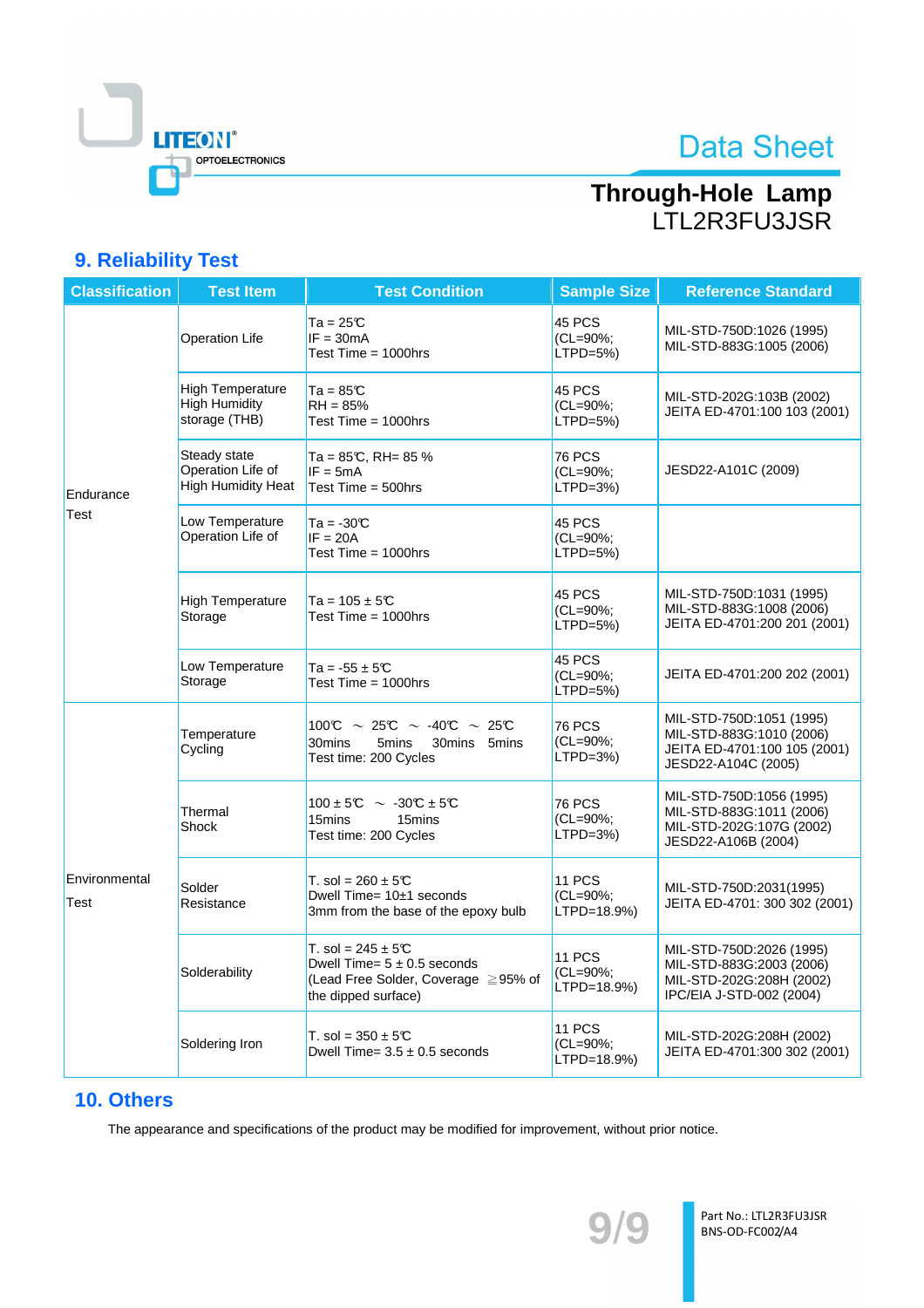

# Through-Hole Lamp<br>LTL2R3FU3JSR

## 9. Reliability Test

| <b>Classification</b> | <b>Test Item</b>                                                 | <b>Test Condition</b>                                                                                                   | <b>Sample Size</b>                       | <b>Reference Standard</b>                                                                                    |
|-----------------------|------------------------------------------------------------------|-------------------------------------------------------------------------------------------------------------------------|------------------------------------------|--------------------------------------------------------------------------------------------------------------|
|                       | <b>Operation Life</b>                                            | Ta = 25℃<br>$IF = 30mA$<br>Test Time = 1000hrs                                                                          | 45 PCS<br>(CL=90%;<br>$LTPD=5%$          | MIL-STD-750D:1026 (1995)<br>MIL-STD-883G:1005 (2006)                                                         |
|                       | <b>High Temperature</b><br><b>High Humidity</b><br>storage (THB) | $Ta = 85C$<br>$RH = 85%$<br>Test Time = 1000hrs                                                                         | 45 PCS<br>(CL=90%;<br>$LTPD=5%$          | MIL-STD-202G:103B (2002)<br>JEITA ED-4701:100 103 (2001)                                                     |
| Endurance             | Steady state<br>Operation Life of<br><b>High Humidity Heat</b>   | Ta = 85℃, RH= 85 %<br>$IF = 5mA$<br>Test Time = $500$ hrs                                                               | <b>76 PCS</b><br>(CL=90%;<br>$LTPD=3\%)$ | JESD22-A101C (2009)                                                                                          |
| Test                  | Low Temperature<br>Operation Life of                             | $Ta = -30C$<br>$IF = 20A$<br>Test Time = 1000hrs                                                                        | 45 PCS<br>(CL=90%;<br>$LTPD=5%$          |                                                                                                              |
|                       | <b>High Temperature</b><br>Storage                               | Ta = $105 \pm 50$<br>Test Time $=$ 1000hrs                                                                              | 45 PCS<br>(CL=90%;<br>$LTPD=5%$          | MIL-STD-750D:1031 (1995)<br>MIL-STD-883G:1008 (2006)<br>JEITA ED-4701:200 201 (2001)                         |
|                       | Low Temperature<br>Storage                                       | Ta = $-55 \pm 50$<br>Test Time $=$ 1000hrs                                                                              | 45 PCS<br>(CL=90%;<br>$LTPD=5%$          | JEITA ED-4701:200 202 (2001)                                                                                 |
|                       | Temperature<br>Cycling                                           | 100°C $\sim$ 25°C $\sim$ -40°C $\sim$ 25°C<br>30mins<br>5mins<br>30mins 5mins<br>Test time: 200 Cycles                  | <b>76 PCS</b><br>(CL=90%;<br>$LTPD=3\%$  | MIL-STD-750D:1051 (1995)<br>MIL-STD-883G:1010 (2006)<br>JEITA ED-4701:100 105 (2001)<br>JESD22-A104C (2005)  |
|                       | Thermal<br>Shock                                                 | $100 \pm 5^{\circ}\text{C} \sim -30^{\circ}\text{C} \pm 5^{\circ}\text{C}$<br>15mins<br>15mins<br>Test time: 200 Cycles | <b>76 PCS</b><br>(CL=90%;<br>$LTPD=3\%$  | MIL-STD-750D:1056 (1995)<br>MIL-STD-883G:1011 (2006)<br>MIL-STD-202G:107G (2002)<br>JESD22-A106B (2004)      |
| Environmental<br>Test | Solder<br>Resistance                                             | T. sol = $260 \pm 5C$<br>Dwell Time= $10±1$ seconds<br>3mm from the base of the epoxy bulb                              | 11 PCS<br>(CL=90%;<br>LTPD=18.9%)        | MIL-STD-750D:2031(1995)<br>JEITA ED-4701: 300 302 (2001)                                                     |
|                       | Solderability                                                    | T. sol = 245 $\pm$ 5°C<br>Dwell Time= $5 \pm 0.5$ seconds<br>(Lead Free Solder, Coverage ≧95% of<br>the dipped surface) | 11 PCS<br>(CL=90%;<br>LTPD=18.9%)        | MIL-STD-750D:2026 (1995)<br>MIL-STD-883G:2003 (2006)<br>MIL-STD-202G:208H (2002)<br>IPC/EIA J-STD-002 (2004) |
|                       | Soldering Iron                                                   | T. sol = $350 \pm 5$ °C<br>Dwell Time= $3.5 \pm 0.5$ seconds                                                            | 11 PCS<br>(CL=90%;<br>LTPD=18.9%)        | MIL-STD-202G:208H (2002)<br>JEITA ED-4701:300 302 (2001)                                                     |

## 10. Others

The appearance and specifications of the product may be modified for improvement, without prior notice.